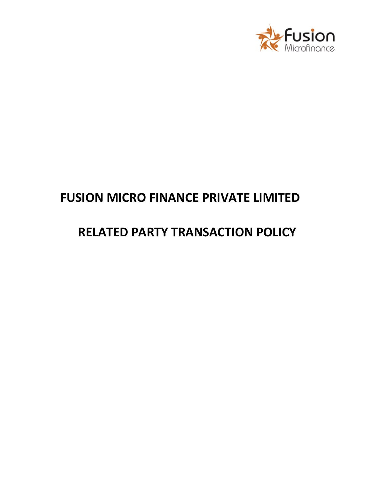

# **FUSION MICRO FINANCE PRIVATE LIMITED**

# **RELATED PARTY TRANSACTION POLICY**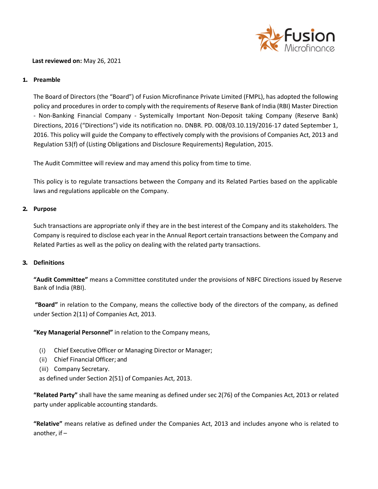

### **Last reviewed on:** May 26, 2021

## **1. Preamble**

The Board of Directors (the "Board") of Fusion Microfinance Private Limited (FMPL), has adopted the following policy and procedures in order to comply with the requirements of Reserve Bank of India (RBI) Master Direction - Non-Banking Financial Company - Systemically Important Non-Deposit taking Company (Reserve Bank) Directions, 2016 ("Directions") vide its notification no. DNBR. PD. 008/03.10.119/2016-17 dated September 1, 2016. This policy will guide the Company to effectively comply with the provisions of Companies Act, 2013 and Regulation 53(f) of (Listing Obligations and Disclosure Requirements) Regulation, 2015.

The Audit Committee will review and may amend this policy from time to time.

This policy is to regulate transactions between the Company and its Related Parties based on the applicable laws and regulations applicable on the Company.

### **2. Purpose**

Such transactions are appropriate only if they are in the best interest of the Company and its stakeholders. The Company is required to disclose each year in the Annual Report certain transactions between the Company and Related Parties as well as the policy on dealing with the related party transactions.

#### **3. Definitions**

**"Audit Committee"** means a Committee constituted under the provisions of NBFC Directions issued by Reserve Bank of India (RBI).

**"Board"** in relation to the Company, means the collective body of the directors of the company, as defined under Section 2(11) of Companies Act, 2013.

**"Key Managerial Personnel"** in relation to the Company means,

- (i) Chief ExecutiveOfficer or Managing Director or Manager;
- (ii) Chief Financial Officer; and
- (iii) Company Secretary.

as defined under Section 2(51) of Companies Act, 2013.

**"Related Party"** shall have the same meaning as defined under sec 2(76) of the Companies Act, 2013 or related party under applicable accounting standards.

**"Relative"** means relative as defined under the Companies Act, 2013 and includes anyone who is related to another, if –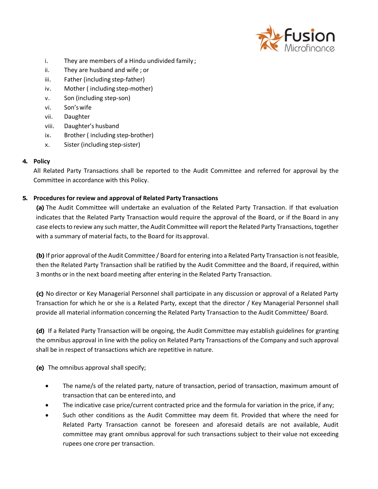

- i. They are members of a Hindu undivided family ;
- ii. They are husband and wife ; or
- iii. Father (including step-father)
- iv. Mother ( including step-mother)
- v. Son (including step-son)
- vi. Son'swife
- vii. Daughter
- viii. Daughter's husband
- ix. Brother ( including step-brother)
- x. Sister (including step-sister)

# **4. Policy**

All Related Party Transactions shall be reported to the Audit Committee and referred for approval by the Committee in accordance with this Policy.

# **5. Procedures for review and approval of Related Party Transactions**

**(a)** The Audit Committee will undertake an evaluation of the Related Party Transaction. If that evaluation indicates that the Related Party Transaction would require the approval of the Board, or if the Board in any case elects to review any such matter, the Audit Committee will report the Related Party Transactions, together with a summary of material facts, to the Board for itsapproval.

**(b)** If prior approval of the Audit Committee / Board for entering into a Related Party Transaction is not feasible, then the Related Party Transaction shall be ratified by the Audit Committee and the Board, if required, within 3 months or in the next board meeting after entering in the Related Party Transaction.

**(c)** No director or Key Managerial Personnel shall participate in any discussion or approval of a Related Party Transaction for which he or she is a Related Party, except that the director / Key Managerial Personnel shall provide all material information concerning the Related Party Transaction to the Audit Committee/ Board.

**(d)** If a Related Party Transaction will be ongoing, the Audit Committee may establish guidelines for granting the omnibus approval in line with the policy on Related Party Transactions of the Company and such approval shall be in respect of transactions which are repetitive in nature.

**(e)** The omnibus approval shall specify;

- The name/s of the related party, nature of transaction, period of transaction, maximum amount of transaction that can be entered into, and
- The indicative case price/current contracted price and the formula for variation in the price, if any;
- Such other conditions as the Audit Committee may deem fit. Provided that where the need for Related Party Transaction cannot be foreseen and aforesaid details are not available, Audit committee may grant omnibus approval for such transactions subject to their value not exceeding rupees one crore per transaction.